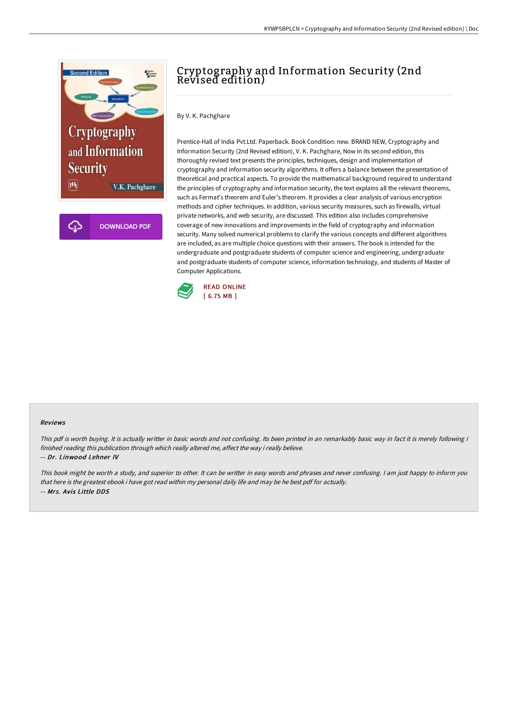

# Cryptography and Information Security (2nd Revised edition)

By V. K. Pachghare

Prentice-Hall of India Pvt.Ltd. Paperback. Book Condition: new. BRAND NEW, Cryptography and Information Security (2nd Revised edition), V. K. Pachghare, Now in its second edition, this thoroughly revised text presents the principles, techniques, design and implementation of cryptography and information security algorithms. It offers a balance between the presentation of theoretical and practical aspects. To provide the mathematical background required to understand the principles of cryptography and information security, the text explains all the relevant theorems, such as Fermat's theorem and Euler's theorem. It provides a clear analysis of various encryption methods and cipher techniques. In addition, various security measures, such as firewalls, virtual private networks, and web security, are discussed. This edition also includes comprehensive coverage of new innovations and improvements in the field of cryptography and information security. Many solved numerical problems to clarify the various concepts and different algorithms are included, as are multiple choice questions with their answers. The book is intended for the undergraduate and postgraduate students of computer science and engineering, undergraduate and postgraduate students of computer science, information technology, and students of Master of Computer Applications.



### Reviews

This pdf is worth buying. It is actually writter in basic words and not confusing. Its been printed in an remarkably basic way in fact it is merely following i finished reading this publication through which really altered me, affect the way i really believe.

#### -- Dr. Linwood Lehner IV

This book might be worth <sup>a</sup> study, and superior to other. It can be writter in easy words and phrases and never confusing. <sup>I</sup> am just happy to inform you that here is the greatest ebook i have got read within my personal daily life and may be he best pdf for actually. -- Mrs. Avis Little DDS